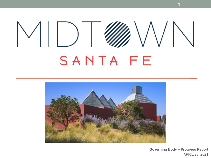## $\mathcal{E} \setminus \mathcal{N} \setminus \mathcal{N}$  $\vee$ ||) SANTA FE



**Governing Body – Progress Report** APRIL 28, 2021

**1**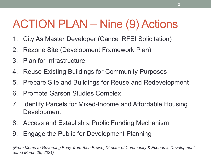### ACTION PLAN – Nine (9) Actions

- 1. City As Master Developer (Cancel RFEI Solicitation)
- 2. Rezone Site (Development Framework Plan)
- 3. Plan for Infrastructure
- 4. Reuse Existing Buildings for Community Purposes
- 5. Prepare Site and Buildings for Reuse and Redevelopment
- 6. Promote Garson Studies Complex
- 7. Identify Parcels for Mixed-Income and Affordable Housing Development
- 8. Access and Establish a Public Funding Mechanism
- 9. Engage the Public for Development Planning

*(From Memo to Governing Body, from Rich Brown, Director of Community & Economic Development, dated March 26, 2021)*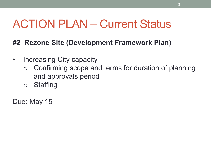#### **#2 Rezone Site (Development Framework Plan)**

- Increasing City capacity
	- Confirming scope and terms for duration of planning and approvals period
	- o Staffing

Due: May 15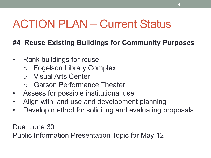#### **#4 Reuse Existing Buildings for Community Purposes**

- Rank buildings for reuse
	- **Fogelson Library Complex**
	- o Visual Arts Center
	- Garson Performance Theater
- Assess for possible institutional use
- Align with land use and development planning
- Develop method for soliciting and evaluating proposals

Due: June 30 Public Information Presentation Topic for May 12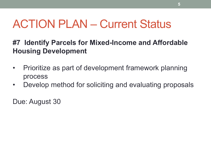#### **#7 Identify Parcels for Mixed-Income and Affordable Housing Development**

- Prioritize as part of development framework planning process
- Develop method for soliciting and evaluating proposals

Due: August 30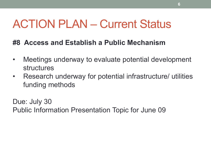#### **#8 Access and Establish a Public Mechanism**

- Meetings underway to evaluate potential development structures
- Research underway for potential infrastructure/ utilities funding methods

Due: July 30 Public Information Presentation Topic for June 09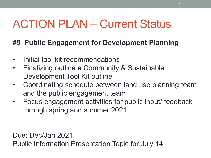#### **#9 Public Engagement for Development Planning**

- Initial tool kit recommendations
- Finalizing outline a Community & Sustainable Development Tool Kit outline
- Coordinating schedule between land use planning team and the public engagement team
- Focus engagement activities for public input/ feedback through spring and summer 2021

Due: Dec/Jan 2021 Public Information Presentation Topic for July 14